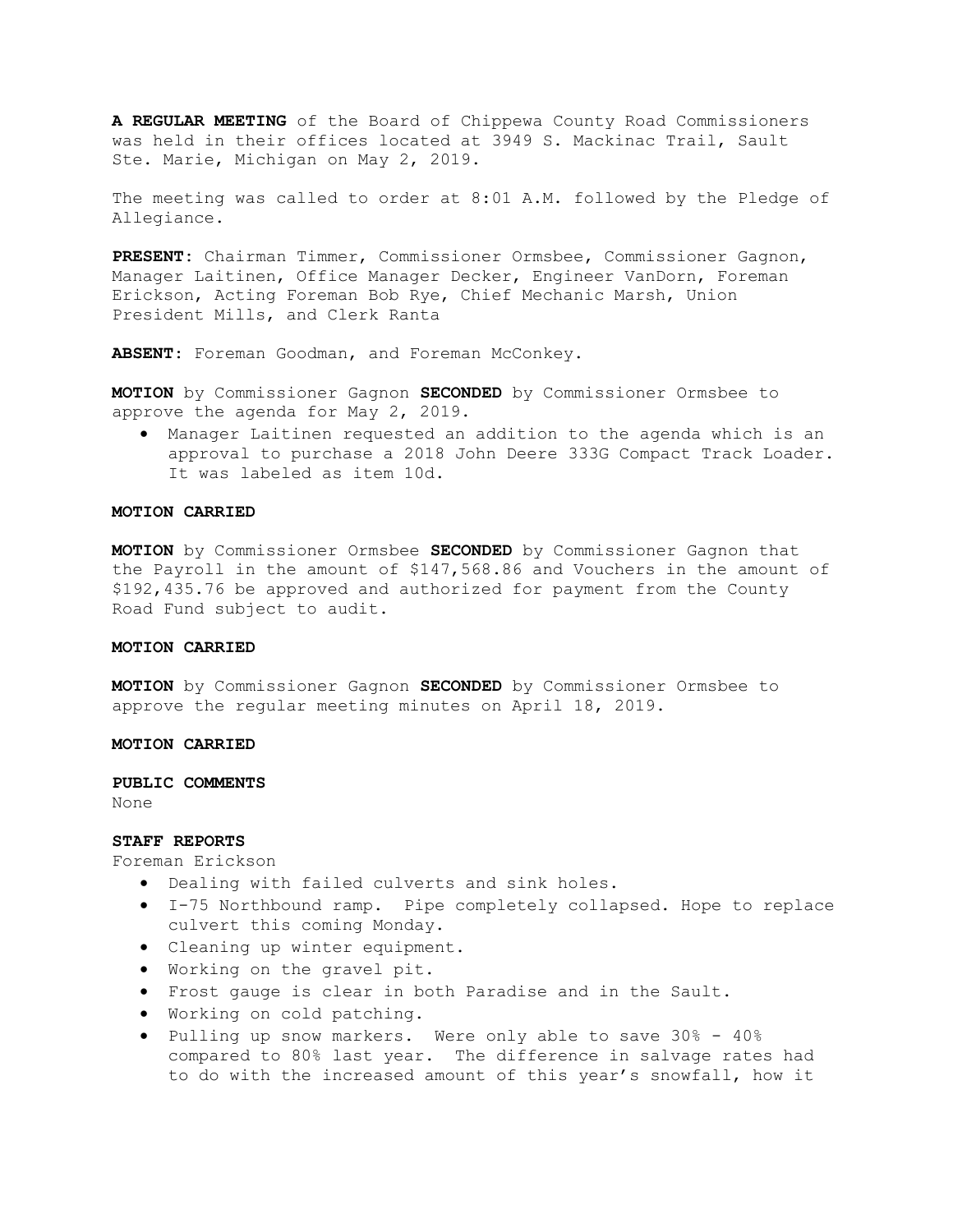A REGULAR MEETING of the Board of Chippewa County Road Commissioners was held in their offices located at 3949 S. Mackinac Trail, Sault Ste. Marie, Michigan on May 2, 2019.

The meeting was called to order at 8:01 A.M. followed by the Pledge of Allegiance.

PRESENT: Chairman Timmer, Commissioner Ormsbee, Commissioner Gagnon, Manager Laitinen, Office Manager Decker, Engineer VanDorn, Foreman Erickson, Acting Foreman Bob Rye, Chief Mechanic Marsh, Union President Mills, and Clerk Ranta

ABSENT: Foreman Goodman, and Foreman McConkey.

MOTION by Commissioner Gagnon SECONDED by Commissioner Ormsbee to approve the agenda for May 2, 2019.

 Manager Laitinen requested an addition to the agenda which is an approval to purchase a 2018 John Deere 333G Compact Track Loader. It was labeled as item 10d.

## MOTION CARRIED

MOTION by Commissioner Ormsbee SECONDED by Commissioner Gagnon that the Payroll in the amount of \$147,568.86 and Vouchers in the amount of \$192,435.76 be approved and authorized for payment from the County Road Fund subject to audit.

## MOTION CARRIED

MOTION by Commissioner Gagnon SECONDED by Commissioner Ormsbee to approve the regular meeting minutes on April 18, 2019.

### MOTION CARRIED

#### PUBLIC COMMENTS

None

### STAFF REPORTS

Foreman Erickson

- Dealing with failed culverts and sink holes.
- I-75 Northbound ramp. Pipe completely collapsed. Hope to replace culvert this coming Monday.
- Cleaning up winter equipment.
- Working on the gravel pit.
- Frost gauge is clear in both Paradise and in the Sault.
- Working on cold patching.
- Pulling up snow markers. Were only able to save 30% 40% compared to 80% last year. The difference in salvage rates had to do with the increased amount of this year's snowfall, how it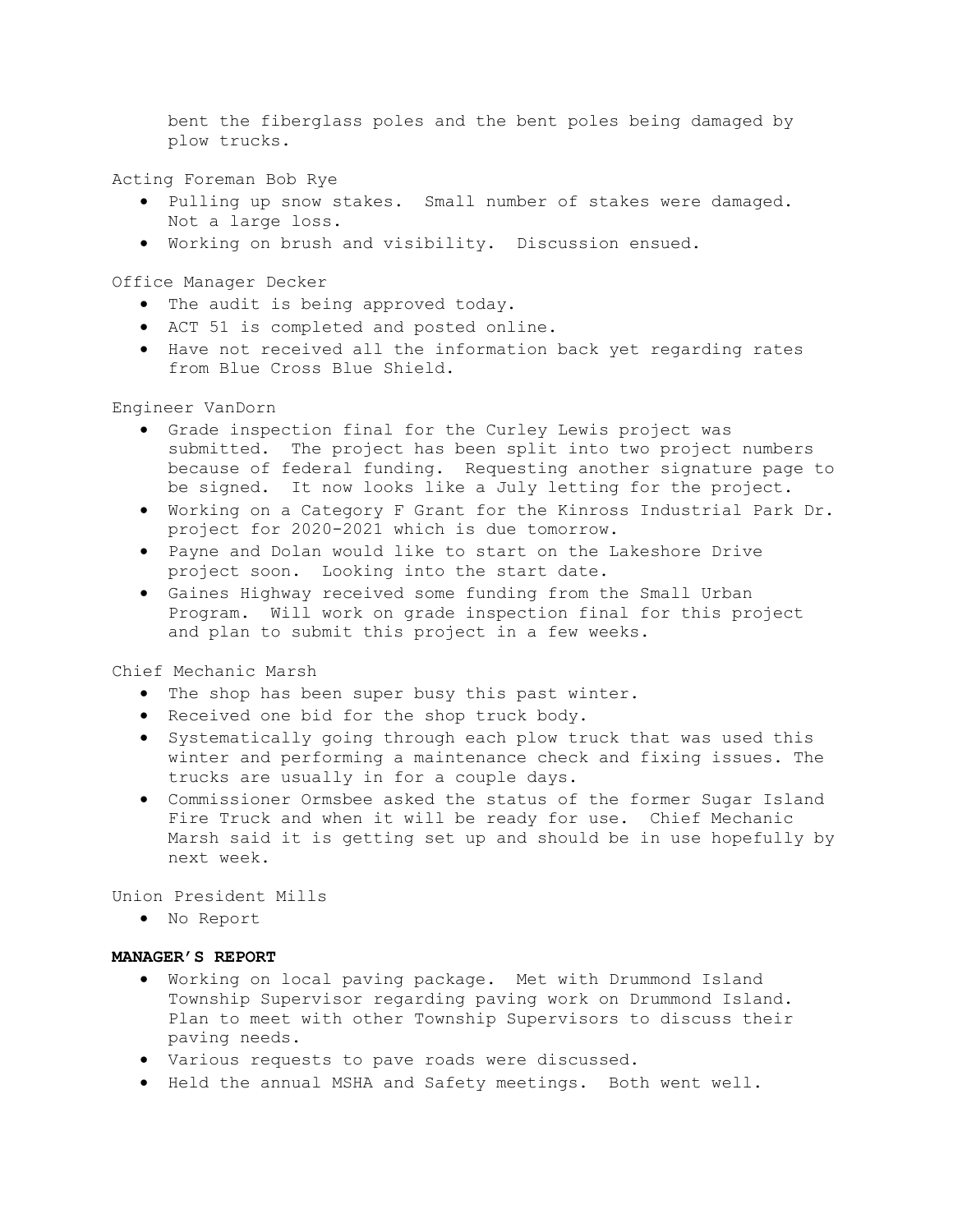bent the fiberglass poles and the bent poles being damaged by plow trucks.

Acting Foreman Bob Rye

- Pulling up snow stakes. Small number of stakes were damaged. Not a large loss.
- Working on brush and visibility. Discussion ensued.

Office Manager Decker

- The audit is being approved today.
- ACT 51 is completed and posted online.
- Have not received all the information back yet regarding rates from Blue Cross Blue Shield.

Engineer VanDorn

- Grade inspection final for the Curley Lewis project was submitted. The project has been split into two project numbers because of federal funding. Requesting another signature page to be signed. It now looks like a July letting for the project.
- Working on a Category F Grant for the Kinross Industrial Park Dr. project for 2020-2021 which is due tomorrow.
- Payne and Dolan would like to start on the Lakeshore Drive project soon. Looking into the start date.
- Gaines Highway received some funding from the Small Urban Program. Will work on grade inspection final for this project and plan to submit this project in a few weeks.

Chief Mechanic Marsh

- The shop has been super busy this past winter.
- Received one bid for the shop truck body.
- Systematically going through each plow truck that was used this winter and performing a maintenance check and fixing issues. The trucks are usually in for a couple days.
- Commissioner Ormsbee asked the status of the former Sugar Island Fire Truck and when it will be ready for use. Chief Mechanic Marsh said it is getting set up and should be in use hopefully by next week.

Union President Mills

No Report

## MANAGER'S REPORT

- Working on local paving package. Met with Drummond Island Township Supervisor regarding paving work on Drummond Island. Plan to meet with other Township Supervisors to discuss their paving needs.
- Various requests to pave roads were discussed.
- Held the annual MSHA and Safety meetings. Both went well.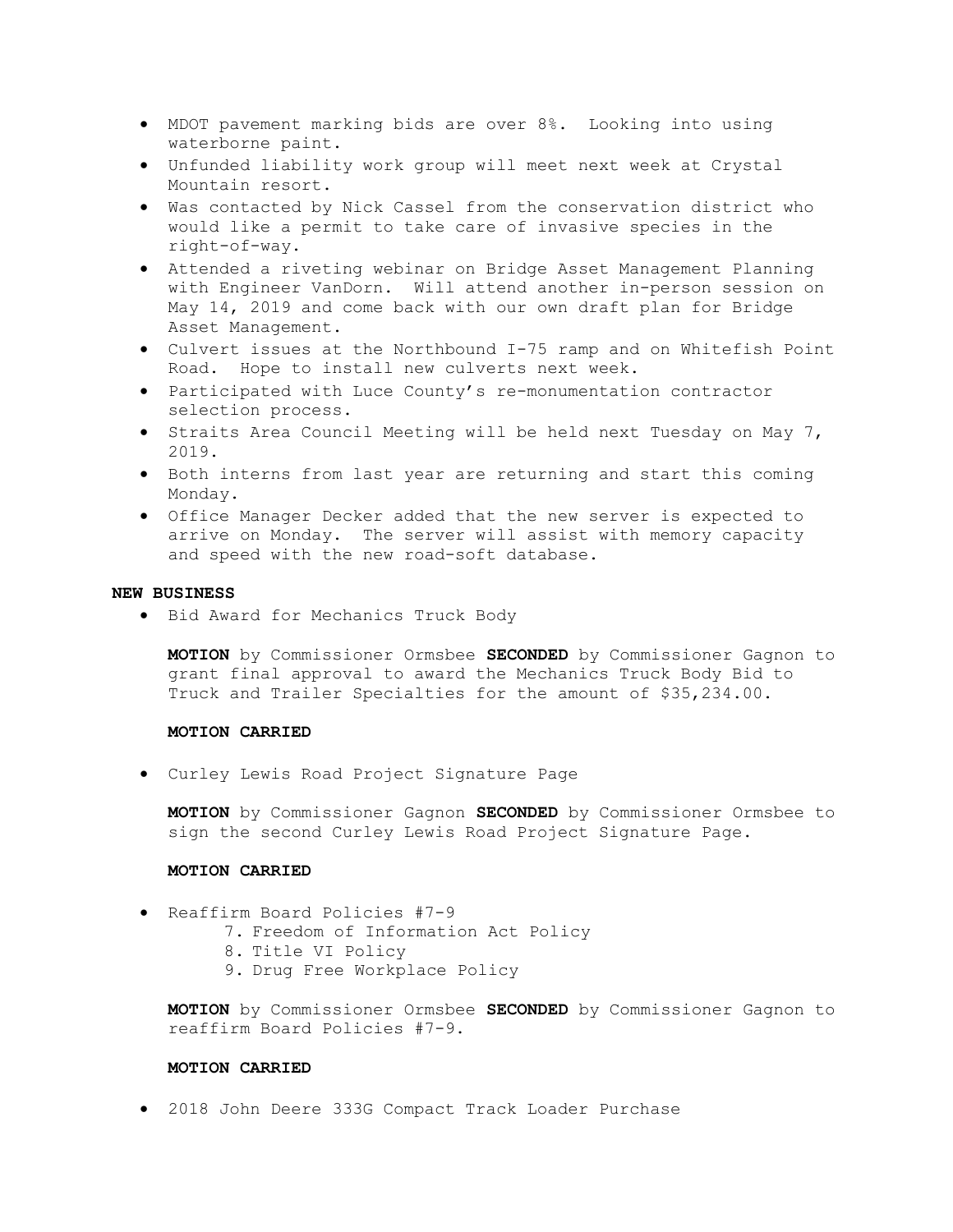- MDOT pavement marking bids are over 8%. Looking into using waterborne paint.
- Unfunded liability work group will meet next week at Crystal Mountain resort.
- Was contacted by Nick Cassel from the conservation district who would like a permit to take care of invasive species in the right-of-way.
- Attended a riveting webinar on Bridge Asset Management Planning with Engineer VanDorn. Will attend another in-person session on May 14, 2019 and come back with our own draft plan for Bridge Asset Management.
- Culvert issues at the Northbound I-75 ramp and on Whitefish Point Road. Hope to install new culverts next week.
- Participated with Luce County's re-monumentation contractor selection process.
- $\bullet$  Straits Area Council Meeting will be held next Tuesday on May 7, 2019.
- Both interns from last year are returning and start this coming Monday.
- Office Manager Decker added that the new server is expected to arrive on Monday. The server will assist with memory capacity and speed with the new road-soft database.

### NEW BUSINESS

Bid Award for Mechanics Truck Body

MOTION by Commissioner Ormsbee SECONDED by Commissioner Gagnon to grant final approval to award the Mechanics Truck Body Bid to Truck and Trailer Specialties for the amount of \$35,234.00.

# MOTION CARRIED

Curley Lewis Road Project Signature Page

MOTION by Commissioner Gagnon SECONDED by Commissioner Ormsbee to sign the second Curley Lewis Road Project Signature Page.

# MOTION CARRIED

- Reaffirm Board Policies #7-9
	- 7. Freedom of Information Act Policy
	- 8. Title VI Policy
	- 9. Drug Free Workplace Policy

MOTION by Commissioner Ormsbee SECONDED by Commissioner Gagnon to reaffirm Board Policies #7-9.

### MOTION CARRIED

2018 John Deere 333G Compact Track Loader Purchase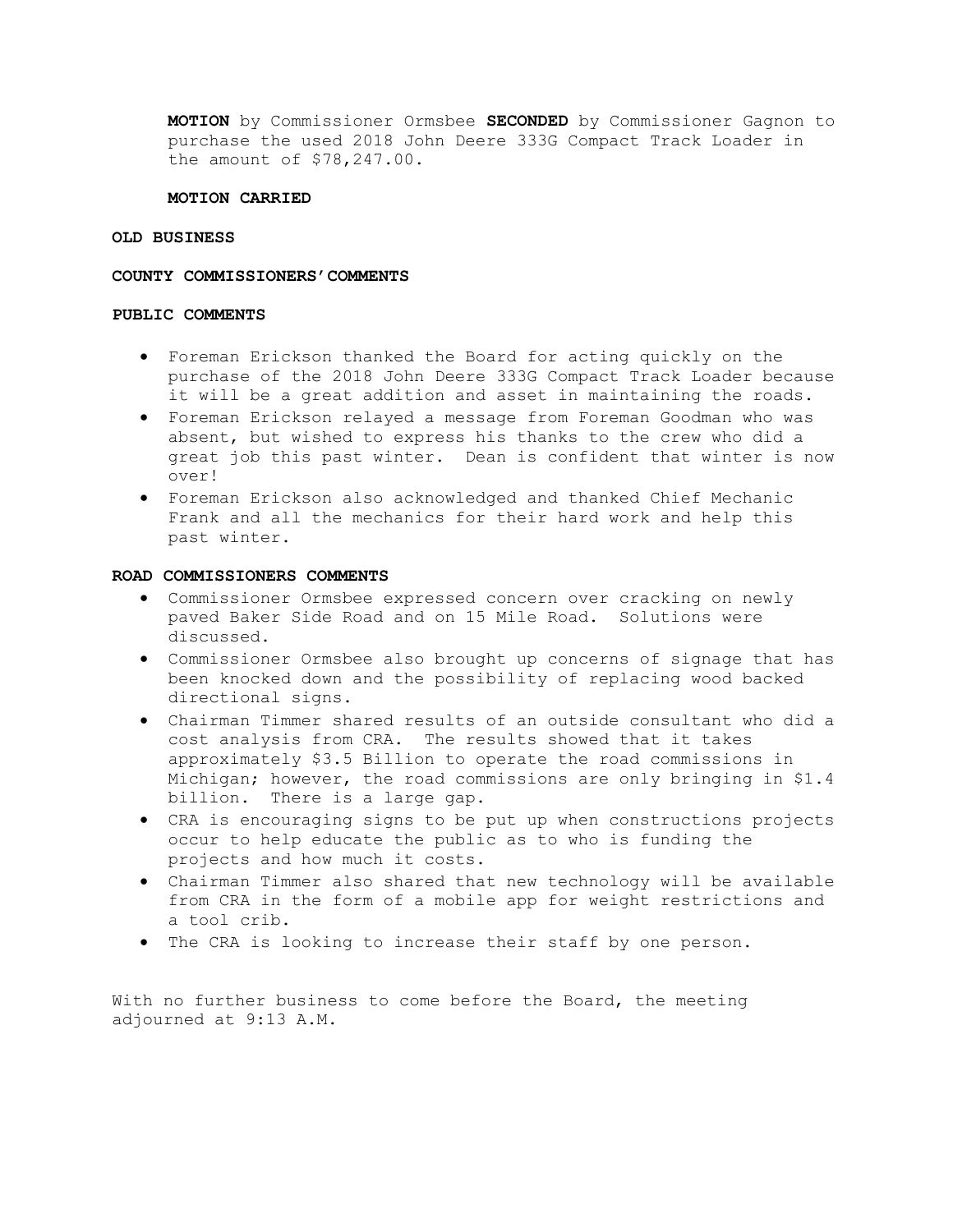MOTION by Commissioner Ormsbee SECONDED by Commissioner Gagnon to purchase the used 2018 John Deere 333G Compact Track Loader in the amount of \$78,247.00.

### MOTION CARRIED

#### OLD BUSINESS

### COUNTY COMMISSIONERS'COMMENTS

### PUBLIC COMMENTS

- Foreman Erickson thanked the Board for acting quickly on the purchase of the 2018 John Deere 333G Compact Track Loader because it will be a great addition and asset in maintaining the roads.
- Foreman Erickson relayed a message from Foreman Goodman who was absent, but wished to express his thanks to the crew who did a great job this past winter. Dean is confident that winter is now over!
- Foreman Erickson also acknowledged and thanked Chief Mechanic Frank and all the mechanics for their hard work and help this past winter.

## ROAD COMMISSIONERS COMMENTS

- Commissioner Ormsbee expressed concern over cracking on newly paved Baker Side Road and on 15 Mile Road. Solutions were discussed.
- Commissioner Ormsbee also brought up concerns of signage that has been knocked down and the possibility of replacing wood backed directional signs.
- Chairman Timmer shared results of an outside consultant who did a cost analysis from CRA. The results showed that it takes approximately \$3.5 Billion to operate the road commissions in Michigan; however, the road commissions are only bringing in \$1.4 billion. There is a large gap.
- CRA is encouraging signs to be put up when constructions projects occur to help educate the public as to who is funding the projects and how much it costs.
- Chairman Timmer also shared that new technology will be available from CRA in the form of a mobile app for weight restrictions and a tool crib.
- The CRA is looking to increase their staff by one person.

With no further business to come before the Board, the meeting adjourned at 9:13 A.M.